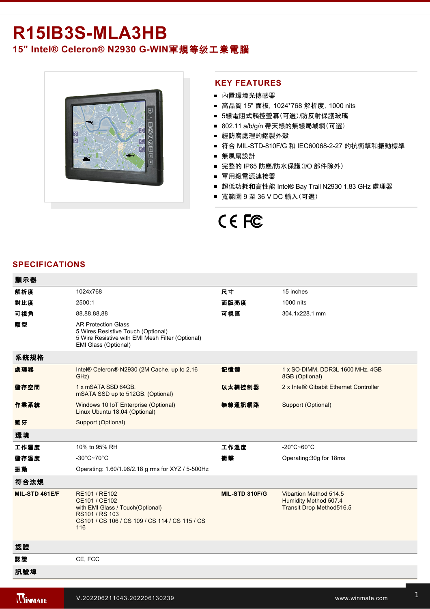# **R15IB3S-MLA3HB**

## 15" Intel® Celeron® N2930 G-WIN軍規等级工業電腦



### **KEY FEATURES**

- 內置環境光傳感器
- 高品質 15" 面板, 1024\*768 解析度, 1000 nits
- 5線電阻式觸控瑩幕(可選)/防反射保護玻璃
- 802.11 a/b/g/n 帶天線的無線局域網(可選)
- 經防腐處理的鋁製外殼
- 符合 MIL-STD-810F/G 和 IEC60068-2-27 的抗衝擊和振動標準
- 無風扇設計
- 完整的 IP65 防塵/防水保護(I/O 部件除外)
- 軍用級電源連接器
- 超低功耗和高性能 Intel® Bay Trail N2930 1.83 GHz 處理器
- 寬範圍 9 至 36 V DC 輸入(可選)

# CE FC

#### **SPECIFICATIONS**

 $=$   $=$   $=$ 

| 觀示器            |                                                                                                                                               |                |                                                                             |
|----------------|-----------------------------------------------------------------------------------------------------------------------------------------------|----------------|-----------------------------------------------------------------------------|
| 解析度            | 1024x768                                                                                                                                      | 尺寸             | 15 inches                                                                   |
| 對比度            | 2500:1                                                                                                                                        | 面版亮度           | 1000 nits                                                                   |
| 可視角            | 88,88,88,88                                                                                                                                   | 可視區            | 304.1x228.1 mm                                                              |
| 類型             | <b>AR Protection Glass</b><br>5 Wires Resistive Touch (Optional)<br>5 Wire Resistive with EMI Mesh Filter (Optional)<br>EMI Glass (Optional)  |                |                                                                             |
| 系統規格           |                                                                                                                                               |                |                                                                             |
| 處理器            | Intel® Celeron® N2930 (2M Cache, up to 2.16<br>GHz)                                                                                           | 記憶體            | 1 x SO-DIMM, DDR3L 1600 MHz, 4GB<br>8GB (Optional)                          |
| 儲存空間           | 1 x mSATA SSD 64GB.<br>mSATA SSD up to 512GB. (Optional)                                                                                      | 以太網控制器         | 2 x Intel® Gibabit Ethernet Controller                                      |
| 作業系統           | Windows 10 IoT Enterprise (Optional)<br>Linux Ubuntu 18.04 (Optional)                                                                         | 無線通訊網路         | Support (Optional)                                                          |
| 藍牙             | Support (Optional)                                                                                                                            |                |                                                                             |
| 環境             |                                                                                                                                               |                |                                                                             |
| 工作濕度           | 10% to 95% RH                                                                                                                                 | 工作溫度           | $-20^{\circ}$ C $-60^{\circ}$ C                                             |
| 儲存溫度           | $-30^{\circ}$ C~70 $^{\circ}$ C                                                                                                               | 衝擊             | Operating: 30g for 18ms                                                     |
| 振動             | Operating: 1.60/1.96/2.18 g rms for XYZ / 5-500Hz                                                                                             |                |                                                                             |
| 符合法規           |                                                                                                                                               |                |                                                                             |
| MIL-STD 461E/F | RE101 / RE102<br>CE101 / CE102<br>with EMI Glass / Touch(Optional)<br>RS101 / RS 103<br>CS101 / CS 106 / CS 109 / CS 114 / CS 115 / CS<br>116 | MIL-STD 810F/G | Vibartion Method 514.5<br>Humidity Method 507.4<br>Transit Drop Method516.5 |
| 認證             |                                                                                                                                               |                |                                                                             |
| 認證             | CE, FCC                                                                                                                                       |                |                                                                             |
| 訊號埠            |                                                                                                                                               |                |                                                                             |